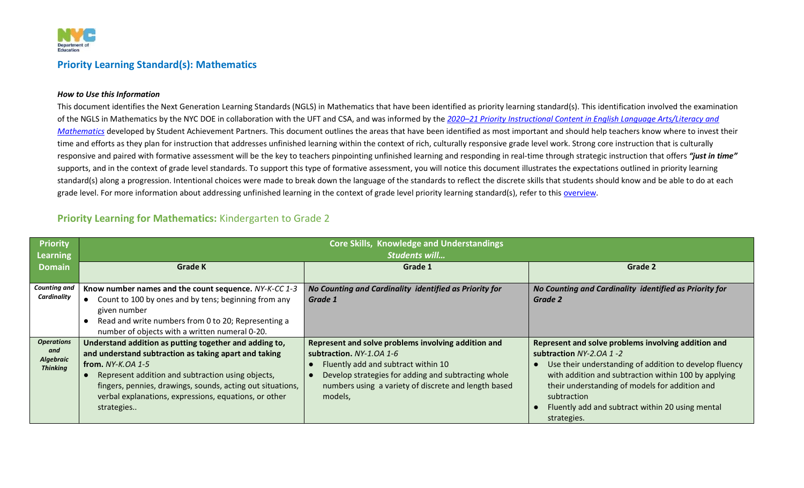

#### **Priority Learning Standard(s): Mathematics**

#### *How to Use this Information*

This document identifies the Next Generation Learning Standards (NGLS) in Mathematics that have been identified as priority learning standard(s). This identification involved the examination of the NGLS in Mathematics by the NYC DOE in collaboration with the UFT and CSA, and was informed by the *2020–[21 Priority Instructional Content in English Language Arts/Literacy and](https://achievethecore.org/page/3267/2020-21-priority-instructional-content-in-english-language-arts-literacy-and-mathematics)  [Mathematics](https://achievethecore.org/page/3267/2020-21-priority-instructional-content-in-english-language-arts-literacy-and-mathematics)* developed by Student Achievement Partners. This document outlines the areas that have been identified as most important and should help teachers know where to invest their time and efforts as they plan for instruction that addresses unfinished learning within the context of rich, culturally responsive grade level work. Strong core instruction that is culturally responsive and paired with formative assessment will be the key to teachers pinpointing unfinished learning and responding in real-time through strategic instruction that offers *"just in time"* supports, and in the context of grade level standards. To support this type of formative assessment, you will notice this document illustrates the expectations outlined in priority learning standard(s) along a progression. Intentional choices were made to break down the language of the standards to reflect the discrete skills that students should know and be able to do at each grade level. For more information about addressing unfinished learning in the context of grade level priority learning standard(s), refer to this [overview.](https://nycdoe.sharepoint.com/:f:/s/CIPLPLContent/EuSgVXRwX1lApVoxjNnU7g0B9mEUg27pkuoHH02dLftzYg?e=reZtq8)

#### **Priority Learning for Mathematics:** Kindergarten to Grade 2

| <b>Priority</b>                     | <b>Core Skills, Knowledge and Understandings</b>           |                                                        |                                                        |
|-------------------------------------|------------------------------------------------------------|--------------------------------------------------------|--------------------------------------------------------|
| <b>Learning</b>                     |                                                            | <b>Students will</b>                                   |                                                        |
| <b>Domain</b>                       | <b>Grade K</b>                                             | Grade 1                                                | Grade 2                                                |
|                                     |                                                            |                                                        |                                                        |
| <b>Counting and</b>                 | Know number names and the count sequence. NY-K-CC 1-3      | No Counting and Cardinality identified as Priority for | No Counting and Cardinality identified as Priority for |
| Cardinality                         | Count to 100 by ones and by tens; beginning from any       | Grade 1                                                | Grade 2                                                |
|                                     | given number                                               |                                                        |                                                        |
|                                     | Read and write numbers from 0 to 20; Representing a        |                                                        |                                                        |
|                                     | number of objects with a written numeral 0-20.             |                                                        |                                                        |
| <b>Operations</b>                   | Understand addition as putting together and adding to,     | Represent and solve problems involving addition and    | Represent and solve problems involving addition and    |
| and                                 | and understand subtraction as taking apart and taking      | subtraction. $NY-1.0A$ 1-6                             | subtraction NY-2.0A 1-2                                |
| <b>Algebraic</b><br><b>Thinking</b> | from. $NY-K.OA$ 1-5                                        | Fluently add and subtract within 10                    | Use their understanding of addition to develop fluency |
|                                     | Represent addition and subtraction using objects,          | Develop strategies for adding and subtracting whole    | with addition and subtraction within 100 by applying   |
|                                     | fingers, pennies, drawings, sounds, acting out situations, | numbers using a variety of discrete and length based   | their understanding of models for addition and         |
|                                     | verbal explanations, expressions, equations, or other      | models,                                                | subtraction                                            |
|                                     | strategies                                                 |                                                        | Fluently add and subtract within 20 using mental       |
|                                     |                                                            |                                                        | strategies.                                            |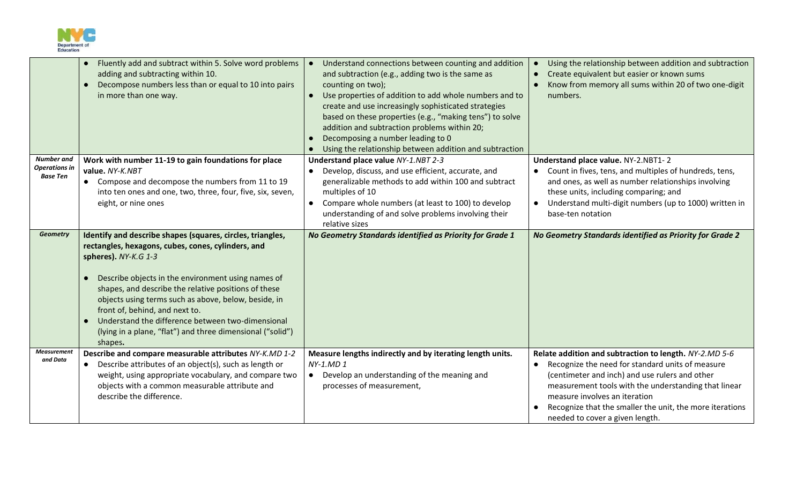

|                                                              | Fluently add and subtract within 5. Solve word problems<br>adding and subtracting within 10.<br>Decompose numbers less than or equal to 10 into pairs<br>in more than one way.                                                                                                                                                                                                                                                                                                 | Understand connections between counting and addition<br>and subtraction (e.g., adding two is the same as<br>counting on two);<br>Use properties of addition to add whole numbers and to<br>create and use increasingly sophisticated strategies<br>based on these properties (e.g., "making tens") to solve<br>addition and subtraction problems within 20;<br>Decomposing a number leading to 0<br>Using the relationship between addition and subtraction | Using the relationship between addition and subtraction<br>$\bullet$<br>Create equivalent but easier or known sums<br>Know from memory all sums within 20 of two one-digit<br>numbers.                                                                                                                                                                            |
|--------------------------------------------------------------|--------------------------------------------------------------------------------------------------------------------------------------------------------------------------------------------------------------------------------------------------------------------------------------------------------------------------------------------------------------------------------------------------------------------------------------------------------------------------------|-------------------------------------------------------------------------------------------------------------------------------------------------------------------------------------------------------------------------------------------------------------------------------------------------------------------------------------------------------------------------------------------------------------------------------------------------------------|-------------------------------------------------------------------------------------------------------------------------------------------------------------------------------------------------------------------------------------------------------------------------------------------------------------------------------------------------------------------|
| <b>Number</b> and<br><b>Operations in</b><br><b>Base Ten</b> | Work with number 11-19 to gain foundations for place<br>value. NY-K.NBT<br>• Compose and decompose the numbers from 11 to 19<br>into ten ones and one, two, three, four, five, six, seven,<br>eight, or nine ones                                                                                                                                                                                                                                                              | Understand place value NY-1.NBT 2-3<br>Develop, discuss, and use efficient, accurate, and<br>$\bullet$<br>generalizable methods to add within 100 and subtract<br>multiples of 10<br>Compare whole numbers (at least to 100) to develop<br>understanding of and solve problems involving their<br>relative sizes                                                                                                                                            | Understand place value. NY-2.NBT1-2<br>• Count in fives, tens, and multiples of hundreds, tens,<br>and ones, as well as number relationships involving<br>these units, including comparing; and<br>Understand multi-digit numbers (up to 1000) written in<br>$\bullet$<br>base-ten notation                                                                       |
| <b>Geometry</b>                                              | Identify and describe shapes (squares, circles, triangles,<br>rectangles, hexagons, cubes, cones, cylinders, and<br>spheres). NY-K.G 1-3<br>Describe objects in the environment using names of<br>shapes, and describe the relative positions of these<br>objects using terms such as above, below, beside, in<br>front of, behind, and next to.<br>Understand the difference between two-dimensional<br>(lying in a plane, "flat") and three dimensional ("solid")<br>shapes. | No Geometry Standards identified as Priority for Grade 1                                                                                                                                                                                                                                                                                                                                                                                                    | No Geometry Standards identified as Priority for Grade 2                                                                                                                                                                                                                                                                                                          |
| Measurement<br>and Data                                      | Describe and compare measurable attributes NY-K.MD 1-2<br>• Describe attributes of an object(s), such as length or<br>weight, using appropriate vocabulary, and compare two<br>objects with a common measurable attribute and<br>describe the difference.                                                                                                                                                                                                                      | Measure lengths indirectly and by iterating length units.<br>NY-1.MD 1<br>• Develop an understanding of the meaning and<br>processes of measurement,                                                                                                                                                                                                                                                                                                        | Relate addition and subtraction to length. NY-2.MD 5-6<br>Recognize the need for standard units of measure<br>$\bullet$<br>(centimeter and inch) and use rulers and other<br>measurement tools with the understanding that linear<br>measure involves an iteration<br>Recognize that the smaller the unit, the more iterations<br>needed to cover a given length. |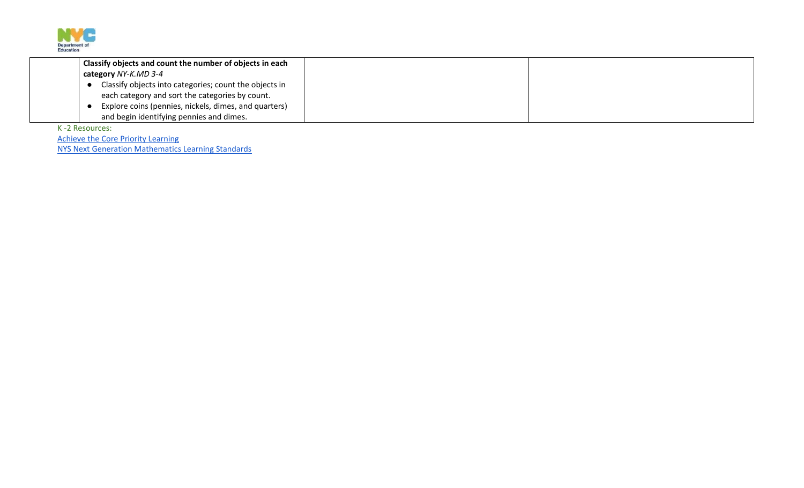

| Classify objects and count the number of objects in each |  |
|----------------------------------------------------------|--|
| category NY-K.MD 3-4                                     |  |
| Classify objects into categories; count the objects in   |  |
| each category and sort the categories by count.          |  |
| Explore coins (pennies, nickels, dimes, and quarters)    |  |
| and begin identifying pennies and dimes.                 |  |

K -2 Resources:

[Achieve the Core Priority Learning](https://achievethecore.org/content/upload/2020%E2%80%9321%20Priority%20Instructional%20Content%20in%20ELA%20Literacy%20and%20Mathematics_June%202020.pdf) [NYS Next Generation Mathematics Learning Standards](http://www.nysed.gov/common/nysed/files/programs/curriculum-instruction/nys-next-generation-mathematics-p-12-standards.pdf)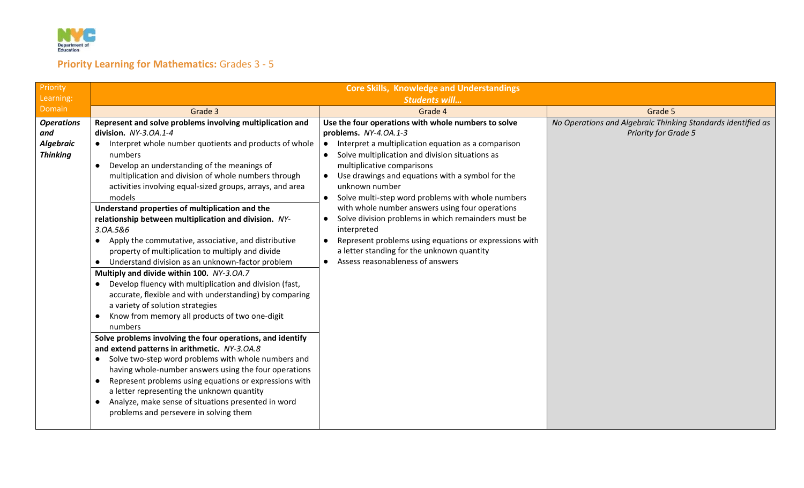

# **Priority Learning for Mathematics:** Grades 3 - 5

| Priority                                                        | <b>Core Skills, Knowledge and Understandings</b>                                                                                                                                                                                                                                                                                                                                                                                                                                                                                                                                                                                                                                                                                                                                                                                                                                                                                                                                                                                                                                                                                                                                                                                                                                                                                                                                                           |                                                                                                                                                                                                                                                                                                                                                                                                                                                                                                                                                                                                                                                                                       |                                                                                             |
|-----------------------------------------------------------------|------------------------------------------------------------------------------------------------------------------------------------------------------------------------------------------------------------------------------------------------------------------------------------------------------------------------------------------------------------------------------------------------------------------------------------------------------------------------------------------------------------------------------------------------------------------------------------------------------------------------------------------------------------------------------------------------------------------------------------------------------------------------------------------------------------------------------------------------------------------------------------------------------------------------------------------------------------------------------------------------------------------------------------------------------------------------------------------------------------------------------------------------------------------------------------------------------------------------------------------------------------------------------------------------------------------------------------------------------------------------------------------------------------|---------------------------------------------------------------------------------------------------------------------------------------------------------------------------------------------------------------------------------------------------------------------------------------------------------------------------------------------------------------------------------------------------------------------------------------------------------------------------------------------------------------------------------------------------------------------------------------------------------------------------------------------------------------------------------------|---------------------------------------------------------------------------------------------|
| Learning:                                                       |                                                                                                                                                                                                                                                                                                                                                                                                                                                                                                                                                                                                                                                                                                                                                                                                                                                                                                                                                                                                                                                                                                                                                                                                                                                                                                                                                                                                            | <b>Students will</b>                                                                                                                                                                                                                                                                                                                                                                                                                                                                                                                                                                                                                                                                  |                                                                                             |
| Domain                                                          | Grade 3                                                                                                                                                                                                                                                                                                                                                                                                                                                                                                                                                                                                                                                                                                                                                                                                                                                                                                                                                                                                                                                                                                                                                                                                                                                                                                                                                                                                    | Grade 4                                                                                                                                                                                                                                                                                                                                                                                                                                                                                                                                                                                                                                                                               | Grade 5                                                                                     |
| <b>Operations</b><br>and<br><b>Algebraic</b><br><b>Thinking</b> | Represent and solve problems involving multiplication and<br>division. NY-3.0A.1-4<br>Interpret whole number quotients and products of whole<br>$\bullet$<br>numbers<br>Develop an understanding of the meanings of<br>$\bullet$<br>multiplication and division of whole numbers through<br>activities involving equal-sized groups, arrays, and area<br>models<br>Understand properties of multiplication and the<br>relationship between multiplication and division. NY-<br>3.0A.5&6<br>Apply the commutative, associative, and distributive<br>property of multiplication to multiply and divide<br>Understand division as an unknown-factor problem<br>Multiply and divide within 100. NY-3.0A.7<br>Develop fluency with multiplication and division (fast,<br>accurate, flexible and with understanding) by comparing<br>a variety of solution strategies<br>Know from memory all products of two one-digit<br>numbers<br>Solve problems involving the four operations, and identify<br>and extend patterns in arithmetic. NY-3.0A.8<br>Solve two-step word problems with whole numbers and<br>$\bullet$<br>having whole-number answers using the four operations<br>Represent problems using equations or expressions with<br>$\bullet$<br>a letter representing the unknown quantity<br>Analyze, make sense of situations presented in word<br>$\bullet$<br>problems and persevere in solving them | Use the four operations with whole numbers to solve<br>problems. NY-4.0A.1-3<br>Interpret a multiplication equation as a comparison<br>$\bullet$<br>Solve multiplication and division situations as<br>$\bullet$<br>multiplicative comparisons<br>Use drawings and equations with a symbol for the<br>$\bullet$<br>unknown number<br>Solve multi-step word problems with whole numbers<br>with whole number answers using four operations<br>Solve division problems in which remainders must be<br>$\bullet$<br>interpreted<br>Represent problems using equations or expressions with<br>a letter standing for the unknown quantity<br>Assess reasonableness of answers<br>$\bullet$ | No Operations and Algebraic Thinking Standards identified as<br><b>Priority for Grade 5</b> |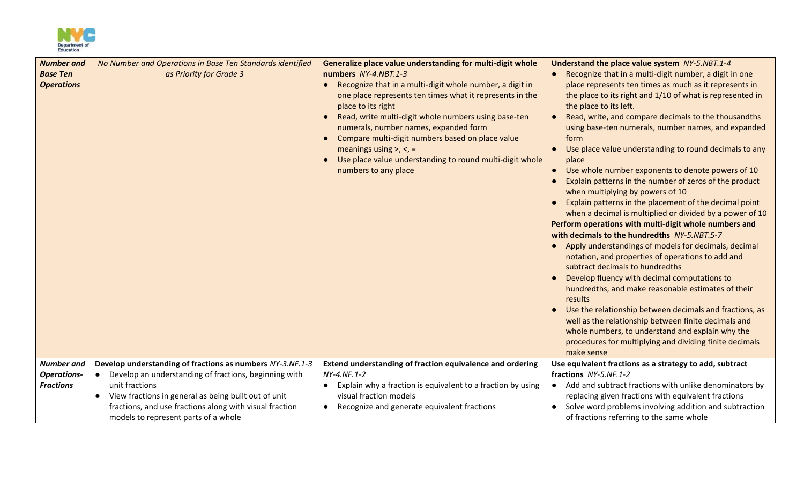

| <b>Number and</b>  | No Number and Operations in Base Ten Standards identified          | Generalize place value understanding for multi-digit whole                                                                                                                                                                                                                                                                                                                                                            | Understand the place value system NY-5.NBT.1-4                                                                                                                                                                                                                                                                                                                                                                                                                                                                                                                                                                                                                                                                                                                                                                                                                                                                                                                                                                                                                                                                                                                                 |
|--------------------|--------------------------------------------------------------------|-----------------------------------------------------------------------------------------------------------------------------------------------------------------------------------------------------------------------------------------------------------------------------------------------------------------------------------------------------------------------------------------------------------------------|--------------------------------------------------------------------------------------------------------------------------------------------------------------------------------------------------------------------------------------------------------------------------------------------------------------------------------------------------------------------------------------------------------------------------------------------------------------------------------------------------------------------------------------------------------------------------------------------------------------------------------------------------------------------------------------------------------------------------------------------------------------------------------------------------------------------------------------------------------------------------------------------------------------------------------------------------------------------------------------------------------------------------------------------------------------------------------------------------------------------------------------------------------------------------------|
| <b>Base Ten</b>    | as Priority for Grade 3                                            | numbers NY-4.NBT.1-3                                                                                                                                                                                                                                                                                                                                                                                                  | Recognize that in a multi-digit number, a digit in one                                                                                                                                                                                                                                                                                                                                                                                                                                                                                                                                                                                                                                                                                                                                                                                                                                                                                                                                                                                                                                                                                                                         |
| <b>Operations</b>  |                                                                    | Recognize that in a multi-digit whole number, a digit in<br>one place represents ten times what it represents in the<br>place to its right<br>Read, write multi-digit whole numbers using base-ten<br>numerals, number names, expanded form<br>Compare multi-digit numbers based on place value<br>meanings using $>$ , $<$ , $=$<br>Use place value understanding to round multi-digit whole<br>numbers to any place | place represents ten times as much as it represents in<br>the place to its right and 1/10 of what is represented in<br>the place to its left.<br>Read, write, and compare decimals to the thousandths<br>using base-ten numerals, number names, and expanded<br>form<br>Use place value understanding to round decimals to any<br>place<br>Use whole number exponents to denote powers of 10<br>$\bullet$<br>Explain patterns in the number of zeros of the product<br>when multiplying by powers of 10<br>Explain patterns in the placement of the decimal point<br>when a decimal is multiplied or divided by a power of 10<br>Perform operations with multi-digit whole numbers and<br>with decimals to the hundredths NY-5.NBT.5-7<br>Apply understandings of models for decimals, decimal<br>notation, and properties of operations to add and<br>subtract decimals to hundredths<br>Develop fluency with decimal computations to<br>hundredths, and make reasonable estimates of their<br>results<br>Use the relationship between decimals and fractions, as<br>well as the relationship between finite decimals and<br>whole numbers, to understand and explain why the |
|                    |                                                                    |                                                                                                                                                                                                                                                                                                                                                                                                                       | procedures for multiplying and dividing finite decimals<br>make sense                                                                                                                                                                                                                                                                                                                                                                                                                                                                                                                                                                                                                                                                                                                                                                                                                                                                                                                                                                                                                                                                                                          |
| <b>Number</b> and  | Develop understanding of fractions as numbers NY-3.NF.1-3          | Extend understanding of fraction equivalence and ordering                                                                                                                                                                                                                                                                                                                                                             | Use equivalent fractions as a strategy to add, subtract                                                                                                                                                                                                                                                                                                                                                                                                                                                                                                                                                                                                                                                                                                                                                                                                                                                                                                                                                                                                                                                                                                                        |
| <b>Operations-</b> | Develop an understanding of fractions, beginning with<br>$\bullet$ | NY-4.NF.1-2                                                                                                                                                                                                                                                                                                                                                                                                           | fractions NY-5.NF.1-2                                                                                                                                                                                                                                                                                                                                                                                                                                                                                                                                                                                                                                                                                                                                                                                                                                                                                                                                                                                                                                                                                                                                                          |
| <b>Fractions</b>   | unit fractions                                                     | Explain why a fraction is equivalent to a fraction by using                                                                                                                                                                                                                                                                                                                                                           | • Add and subtract fractions with unlike denominators by                                                                                                                                                                                                                                                                                                                                                                                                                                                                                                                                                                                                                                                                                                                                                                                                                                                                                                                                                                                                                                                                                                                       |
|                    | View fractions in general as being built out of unit               | visual fraction models                                                                                                                                                                                                                                                                                                                                                                                                | replacing given fractions with equivalent fractions                                                                                                                                                                                                                                                                                                                                                                                                                                                                                                                                                                                                                                                                                                                                                                                                                                                                                                                                                                                                                                                                                                                            |
|                    | fractions, and use fractions along with visual fraction            | Recognize and generate equivalent fractions                                                                                                                                                                                                                                                                                                                                                                           | Solve word problems involving addition and subtraction                                                                                                                                                                                                                                                                                                                                                                                                                                                                                                                                                                                                                                                                                                                                                                                                                                                                                                                                                                                                                                                                                                                         |
|                    | models to represent parts of a whole                               |                                                                                                                                                                                                                                                                                                                                                                                                                       | of fractions referring to the same whole                                                                                                                                                                                                                                                                                                                                                                                                                                                                                                                                                                                                                                                                                                                                                                                                                                                                                                                                                                                                                                                                                                                                       |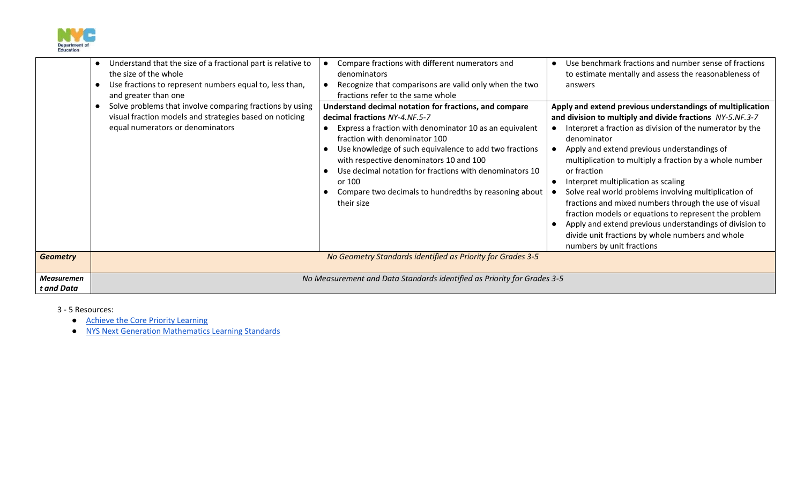

|                                 | Understand that the size of a fractional part is relative to<br>the size of the whole<br>Use fractions to represent numbers equal to, less than,<br>and greater than one<br>Solve problems that involve comparing fractions by using | Compare fractions with different numerators and<br>denominators<br>Recognize that comparisons are valid only when the two<br>fractions refer to the same whole<br>Understand decimal notation for fractions, and compare                                                                                                                                                   | Use benchmark fractions and number sense of fractions<br>to estimate mentally and assess the reasonableness of<br>answers<br>Apply and extend previous understandings of multiplication                                                                                                                                                                                                                                                                                                                                                                                                                                     |
|---------------------------------|--------------------------------------------------------------------------------------------------------------------------------------------------------------------------------------------------------------------------------------|----------------------------------------------------------------------------------------------------------------------------------------------------------------------------------------------------------------------------------------------------------------------------------------------------------------------------------------------------------------------------|-----------------------------------------------------------------------------------------------------------------------------------------------------------------------------------------------------------------------------------------------------------------------------------------------------------------------------------------------------------------------------------------------------------------------------------------------------------------------------------------------------------------------------------------------------------------------------------------------------------------------------|
|                                 | visual fraction models and strategies based on noticing<br>equal numerators or denominators                                                                                                                                          | decimal fractions NY-4.NF.5-7<br>Express a fraction with denominator 10 as an equivalent<br>fraction with denominator 100<br>Use knowledge of such equivalence to add two fractions<br>with respective denominators 10 and 100<br>Use decimal notation for fractions with denominators 10<br>or 100<br>Compare two decimals to hundredths by reasoning about<br>their size | and division to multiply and divide fractions NY-5.NF.3-7<br>Interpret a fraction as division of the numerator by the<br>denominator<br>Apply and extend previous understandings of<br>multiplication to multiply a fraction by a whole number<br>or fraction<br>Interpret multiplication as scaling<br>Solve real world problems involving multiplication of<br>fractions and mixed numbers through the use of visual<br>fraction models or equations to represent the problem<br>Apply and extend previous understandings of division to<br>divide unit fractions by whole numbers and whole<br>numbers by unit fractions |
| <b>Geometry</b>                 |                                                                                                                                                                                                                                      | No Geometry Standards identified as Priority for Grades 3-5                                                                                                                                                                                                                                                                                                                |                                                                                                                                                                                                                                                                                                                                                                                                                                                                                                                                                                                                                             |
| <b>Measuremen</b><br>t and Data | No Measurement and Data Standards identified as Priority for Grades 3-5                                                                                                                                                              |                                                                                                                                                                                                                                                                                                                                                                            |                                                                                                                                                                                                                                                                                                                                                                                                                                                                                                                                                                                                                             |

3 - 5 Resources:

- [Achieve the Core Priority Learning](https://achievethecore.org/content/upload/2020%E2%80%9321%20Priority%20Instructional%20Content%20in%20ELA%20Literacy%20and%20Mathematics_June%202020.pdf)
- [NYS Next Generation Mathematics Learning Standards](http://www.nysed.gov/common/nysed/files/programs/curriculum-instruction/nys-next-generation-mathematics-p-12-standards.pdf)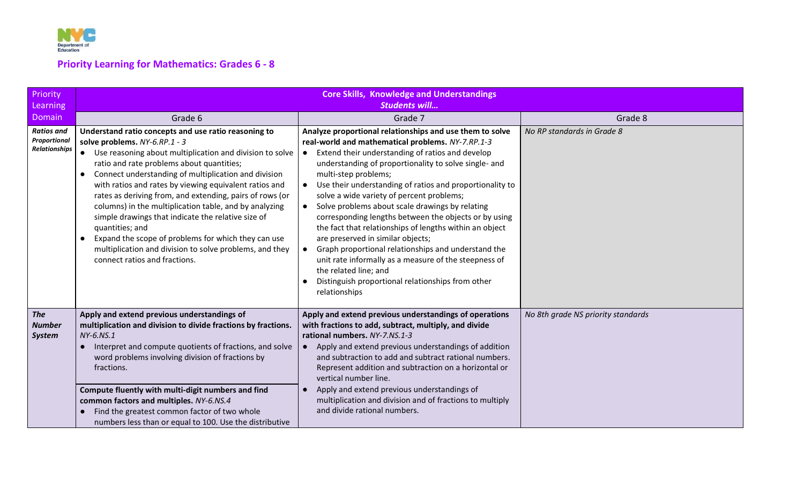

# **Priority Learning for Mathematics: Grades 6 - 8**

| Priority<br><b>Learning</b>                        | <b>Core Skills, Knowledge and Understandings</b><br><b>Students will</b>                                                                                                                                                                                                                                                                                                                                                                                                                                                                                                                                                                                                                     |                                                                                                                                                                                                                                                                                                                                                                                                                                                                                                                                                                                                                                                                                                                                                                                                       |                                    |
|----------------------------------------------------|----------------------------------------------------------------------------------------------------------------------------------------------------------------------------------------------------------------------------------------------------------------------------------------------------------------------------------------------------------------------------------------------------------------------------------------------------------------------------------------------------------------------------------------------------------------------------------------------------------------------------------------------------------------------------------------------|-------------------------------------------------------------------------------------------------------------------------------------------------------------------------------------------------------------------------------------------------------------------------------------------------------------------------------------------------------------------------------------------------------------------------------------------------------------------------------------------------------------------------------------------------------------------------------------------------------------------------------------------------------------------------------------------------------------------------------------------------------------------------------------------------------|------------------------------------|
| Domain                                             | Grade 6                                                                                                                                                                                                                                                                                                                                                                                                                                                                                                                                                                                                                                                                                      | Grade 7                                                                                                                                                                                                                                                                                                                                                                                                                                                                                                                                                                                                                                                                                                                                                                                               | Grade 8                            |
| <b>Ratios and</b><br>Proportional<br>Relationships | Understand ratio concepts and use ratio reasoning to<br>solve problems. NY-6.RP.1 - 3<br>Use reasoning about multiplication and division to solve<br>ratio and rate problems about quantities;<br>Connect understanding of multiplication and division<br>$\bullet$<br>with ratios and rates by viewing equivalent ratios and<br>rates as deriving from, and extending, pairs of rows (or<br>columns) in the multiplication table, and by analyzing<br>simple drawings that indicate the relative size of<br>quantities; and<br>Expand the scope of problems for which they can use<br>$\bullet$<br>multiplication and division to solve problems, and they<br>connect ratios and fractions. | Analyze proportional relationships and use them to solve<br>real-world and mathematical problems. NY-7.RP.1-3<br>Extend their understanding of ratios and develop<br>understanding of proportionality to solve single- and<br>multi-step problems;<br>• Use their understanding of ratios and proportionality to<br>solve a wide variety of percent problems;<br>Solve problems about scale drawings by relating<br>$\bullet$<br>corresponding lengths between the objects or by using<br>the fact that relationships of lengths within an object<br>are preserved in similar objects;<br>Graph proportional relationships and understand the<br>unit rate informally as a measure of the steepness of<br>the related line; and<br>Distinguish proportional relationships from other<br>relationships | No RP standards in Grade 8         |
| <b>The</b><br><b>Number</b><br><b>System</b>       | Apply and extend previous understandings of<br>multiplication and division to divide fractions by fractions.<br>NY-6.NS.1<br>Interpret and compute quotients of fractions, and solve<br>word problems involving division of fractions by<br>fractions.<br>Compute fluently with multi-digit numbers and find<br>common factors and multiples. NY-6.NS.4<br>Find the greatest common factor of two whole<br>numbers less than or equal to 100. Use the distributive                                                                                                                                                                                                                           | Apply and extend previous understandings of operations<br>with fractions to add, subtract, multiply, and divide<br>rational numbers. NY-7.NS.1-3<br>Apply and extend previous understandings of addition<br>and subtraction to add and subtract rational numbers.<br>Represent addition and subtraction on a horizontal or<br>vertical number line.<br>Apply and extend previous understandings of<br>multiplication and division and of fractions to multiply<br>and divide rational numbers.                                                                                                                                                                                                                                                                                                        | No 8th grade NS priority standards |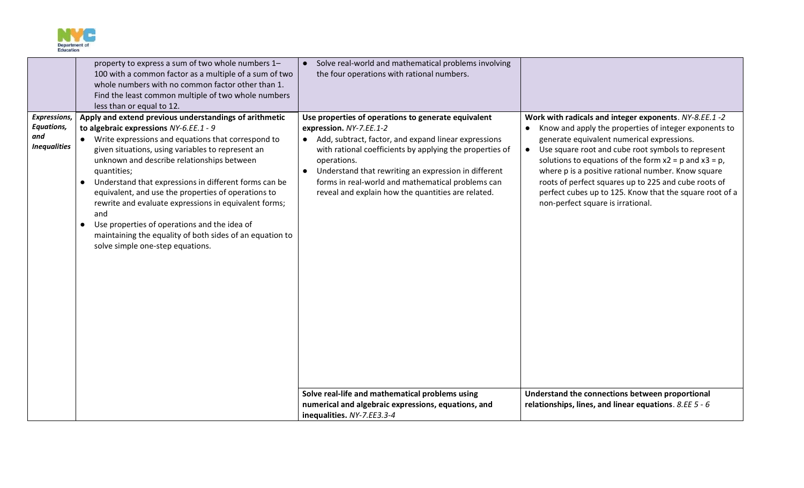

|                                                          | property to express a sum of two whole numbers 1-<br>100 with a common factor as a multiple of a sum of two<br>whole numbers with no common factor other than 1.<br>Find the least common multiple of two whole numbers                                                                                                                                                                                                                                                                                                                                                                                                                            | • Solve real-world and mathematical problems involving<br>the four operations with rational numbers.                                                                                                                                                                                                                                                                                   |                                                                                                                                                                                                                                                                                                                                                                                                                                                                                                                |
|----------------------------------------------------------|----------------------------------------------------------------------------------------------------------------------------------------------------------------------------------------------------------------------------------------------------------------------------------------------------------------------------------------------------------------------------------------------------------------------------------------------------------------------------------------------------------------------------------------------------------------------------------------------------------------------------------------------------|----------------------------------------------------------------------------------------------------------------------------------------------------------------------------------------------------------------------------------------------------------------------------------------------------------------------------------------------------------------------------------------|----------------------------------------------------------------------------------------------------------------------------------------------------------------------------------------------------------------------------------------------------------------------------------------------------------------------------------------------------------------------------------------------------------------------------------------------------------------------------------------------------------------|
| Expressions,<br>Equations,<br>and<br><b>Inequalities</b> | less than or equal to 12.<br>Apply and extend previous understandings of arithmetic<br>to algebraic expressions NY-6.EE.1 - 9<br>Write expressions and equations that correspond to<br>given situations, using variables to represent an<br>unknown and describe relationships between<br>quantities;<br>Understand that expressions in different forms can be<br>$\bullet$<br>equivalent, and use the properties of operations to<br>rewrite and evaluate expressions in equivalent forms;<br>and<br>Use properties of operations and the idea of<br>maintaining the equality of both sides of an equation to<br>solve simple one-step equations. | Use properties of operations to generate equivalent<br>expression. NY-7.EE.1-2<br>• Add, subtract, factor, and expand linear expressions<br>with rational coefficients by applying the properties of<br>operations.<br>Understand that rewriting an expression in different<br>forms in real-world and mathematical problems can<br>reveal and explain how the quantities are related. | Work with radicals and integer exponents. NY-8.EE.1 -2<br>Know and apply the properties of integer exponents to<br>$\bullet$<br>generate equivalent numerical expressions.<br>• Use square root and cube root symbols to represent<br>solutions to equations of the form $x2 = p$ and $x3 = p$ ,<br>where p is a positive rational number. Know square<br>roots of perfect squares up to 225 and cube roots of<br>perfect cubes up to 125. Know that the square root of a<br>non-perfect square is irrational. |
|                                                          |                                                                                                                                                                                                                                                                                                                                                                                                                                                                                                                                                                                                                                                    | Solve real-life and mathematical problems using<br>numerical and algebraic expressions, equations, and<br>inequalities. NY-7.EE3.3-4                                                                                                                                                                                                                                                   | Understand the connections between proportional<br>relationships, lines, and linear equations. 8.EE 5 - 6                                                                                                                                                                                                                                                                                                                                                                                                      |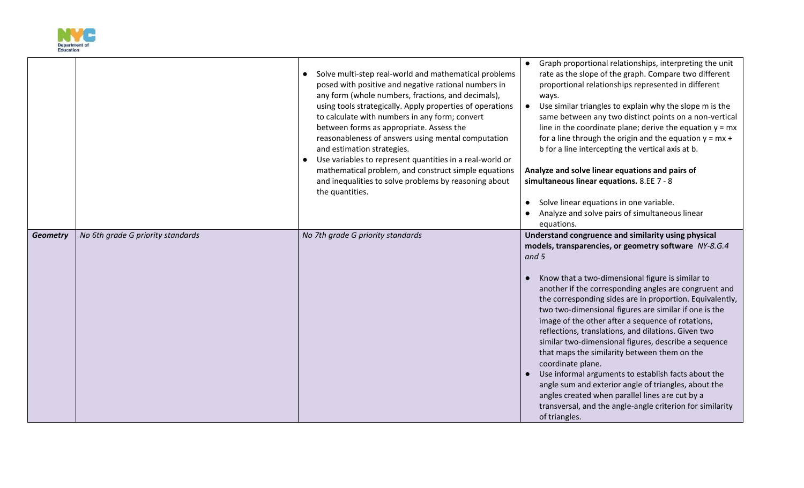

|                 |                                   | Solve multi-step real-world and mathematical problems<br>posed with positive and negative rational numbers in<br>any form (whole numbers, fractions, and decimals),<br>using tools strategically. Apply properties of operations<br>to calculate with numbers in any form; convert<br>between forms as appropriate. Assess the<br>reasonableness of answers using mental computation<br>and estimation strategies.<br>Use variables to represent quantities in a real-world or<br>mathematical problem, and construct simple equations<br>and inequalities to solve problems by reasoning about<br>the quantities. | Graph proportional relationships, interpreting the unit<br>rate as the slope of the graph. Compare two different<br>proportional relationships represented in different<br>ways.<br>Use similar triangles to explain why the slope m is the<br>$\bullet$<br>same between any two distinct points on a non-vertical<br>line in the coordinate plane; derive the equation $y = mx$<br>for a line through the origin and the equation $y = mx +$<br>b for a line intercepting the vertical axis at b.<br>Analyze and solve linear equations and pairs of<br>simultaneous linear equations. 8.EE 7 - 8<br>Solve linear equations in one variable.<br>Analyze and solve pairs of simultaneous linear<br>equations.                                                                                                                                    |
|-----------------|-----------------------------------|--------------------------------------------------------------------------------------------------------------------------------------------------------------------------------------------------------------------------------------------------------------------------------------------------------------------------------------------------------------------------------------------------------------------------------------------------------------------------------------------------------------------------------------------------------------------------------------------------------------------|--------------------------------------------------------------------------------------------------------------------------------------------------------------------------------------------------------------------------------------------------------------------------------------------------------------------------------------------------------------------------------------------------------------------------------------------------------------------------------------------------------------------------------------------------------------------------------------------------------------------------------------------------------------------------------------------------------------------------------------------------------------------------------------------------------------------------------------------------|
| <b>Geometry</b> | No 6th grade G priority standards | No 7th grade G priority standards                                                                                                                                                                                                                                                                                                                                                                                                                                                                                                                                                                                  | Understand congruence and similarity using physical<br>models, transparencies, or geometry software NY-8.G.4<br>and 5<br>Know that a two-dimensional figure is similar to<br>another if the corresponding angles are congruent and<br>the corresponding sides are in proportion. Equivalently,<br>two two-dimensional figures are similar if one is the<br>image of the other after a sequence of rotations,<br>reflections, translations, and dilations. Given two<br>similar two-dimensional figures, describe a sequence<br>that maps the similarity between them on the<br>coordinate plane.<br>Use informal arguments to establish facts about the<br>angle sum and exterior angle of triangles, about the<br>angles created when parallel lines are cut by a<br>transversal, and the angle-angle criterion for similarity<br>of triangles. |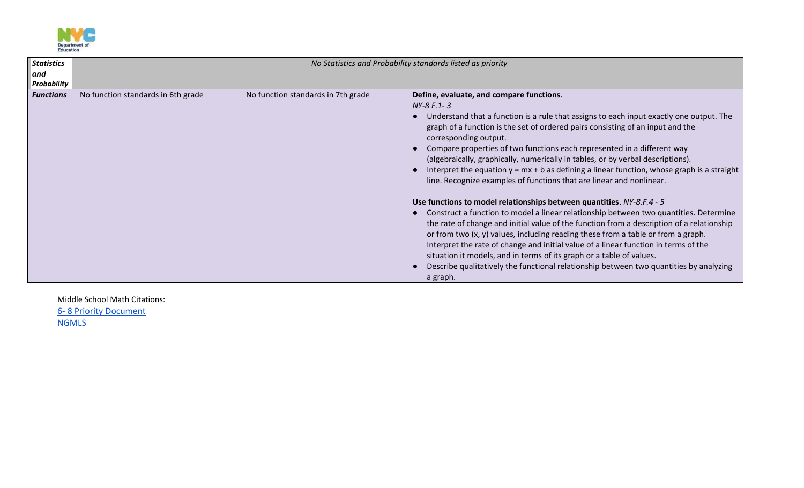

| <b>Statistics</b><br>and<br>Probability | No Statistics and Probability standards listed as priority |                                    |                                                                                                                                                                                                                                                                                                                                                                                                                                                                                                                                                                                                                                                                                                                                                                                                                                                                                                                                                                                                                                                                                                                                                                                                                              |
|-----------------------------------------|------------------------------------------------------------|------------------------------------|------------------------------------------------------------------------------------------------------------------------------------------------------------------------------------------------------------------------------------------------------------------------------------------------------------------------------------------------------------------------------------------------------------------------------------------------------------------------------------------------------------------------------------------------------------------------------------------------------------------------------------------------------------------------------------------------------------------------------------------------------------------------------------------------------------------------------------------------------------------------------------------------------------------------------------------------------------------------------------------------------------------------------------------------------------------------------------------------------------------------------------------------------------------------------------------------------------------------------|
| <b>Functions</b>                        | No function standards in 6th grade                         | No function standards in 7th grade | Define, evaluate, and compare functions.<br>NY-8 F.1-3<br>Understand that a function is a rule that assigns to each input exactly one output. The<br>graph of a function is the set of ordered pairs consisting of an input and the<br>corresponding output.<br>Compare properties of two functions each represented in a different way<br>(algebraically, graphically, numerically in tables, or by verbal descriptions).<br>Interpret the equation $y = mx + b$ as defining a linear function, whose graph is a straight<br>line. Recognize examples of functions that are linear and nonlinear.<br>Use functions to model relationships between quantities. NY-8.F.4 - 5<br>Construct a function to model a linear relationship between two quantities. Determine<br>the rate of change and initial value of the function from a description of a relationship<br>or from two $(x, y)$ values, including reading these from a table or from a graph.<br>Interpret the rate of change and initial value of a linear function in terms of the<br>situation it models, and in terms of its graph or a table of values.<br>Describe qualitatively the functional relationship between two quantities by analyzing<br>a graph. |

Middle School Math Citations: 6- [8 Priority Document](https://achievethecore.org/content/upload/2020%E2%80%9321%20Priority%20Instructional%20Content%20in%20ELA%20Literacy%20and%20Mathematics_June%202020.pdf) **[NGMLS](http://www.nysed.gov/common/nysed/files/programs/curriculum-instruction/nys-next-generation-mathematics-p-12-standards.pdf)**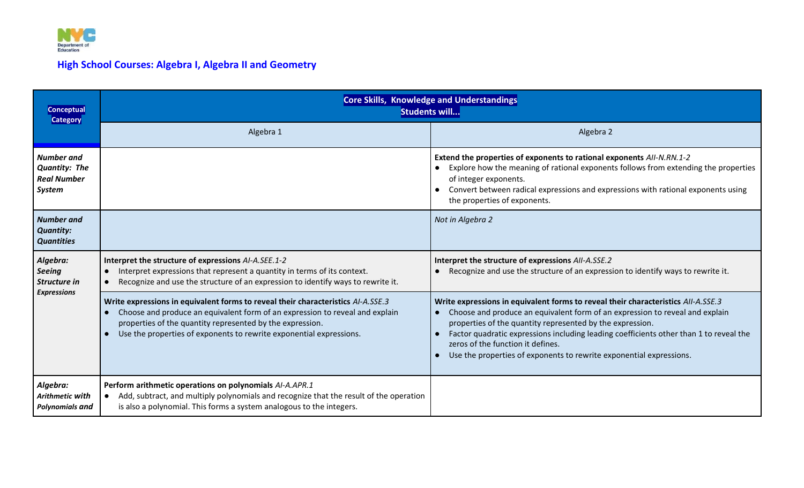

# **High School Courses: Algebra I, Algebra II and Geometry**

| <b>Conceptual</b><br><b>Category</b>                                             | <b>Core Skills, Knowledge and Understandings</b><br>Students will                                                                                                                                                                                                                                    |                                                                                                                                                                                                                                                                                                                                                                                                                                      |  |
|----------------------------------------------------------------------------------|------------------------------------------------------------------------------------------------------------------------------------------------------------------------------------------------------------------------------------------------------------------------------------------------------|--------------------------------------------------------------------------------------------------------------------------------------------------------------------------------------------------------------------------------------------------------------------------------------------------------------------------------------------------------------------------------------------------------------------------------------|--|
|                                                                                  | Algebra 1                                                                                                                                                                                                                                                                                            | Algebra 2                                                                                                                                                                                                                                                                                                                                                                                                                            |  |
| <b>Number</b> and<br><b>Quantity: The</b><br><b>Real Number</b><br><b>System</b> |                                                                                                                                                                                                                                                                                                      | Extend the properties of exponents to rational exponents AII-N.RN.1-2<br>Explore how the meaning of rational exponents follows from extending the properties<br>of integer exponents.<br>Convert between radical expressions and expressions with rational exponents using<br>the properties of exponents.                                                                                                                           |  |
| <b>Number and</b><br><b>Quantity:</b><br><b>Quantities</b>                       |                                                                                                                                                                                                                                                                                                      | Not in Algebra 2                                                                                                                                                                                                                                                                                                                                                                                                                     |  |
| Algebra:<br><b>Seeing</b><br>Structure in<br><b>Expressions</b>                  | Interpret the structure of expressions AI-A.SEE.1-2<br>Interpret expressions that represent a quantity in terms of its context.<br>$\bullet$<br>Recognize and use the structure of an expression to identify ways to rewrite it.                                                                     | Interpret the structure of expressions AII-A.SSE.2<br>Recognize and use the structure of an expression to identify ways to rewrite it.                                                                                                                                                                                                                                                                                               |  |
|                                                                                  | Write expressions in equivalent forms to reveal their characteristics AI-A.SSE.3<br>Choose and produce an equivalent form of an expression to reveal and explain<br>properties of the quantity represented by the expression.<br>Use the properties of exponents to rewrite exponential expressions. | Write expressions in equivalent forms to reveal their characteristics AII-A.SSE.3<br>Choose and produce an equivalent form of an expression to reveal and explain<br>properties of the quantity represented by the expression.<br>Factor quadratic expressions including leading coefficients other than 1 to reveal the<br>zeros of the function it defines.<br>Use the properties of exponents to rewrite exponential expressions. |  |
| Algebra:<br>Arithmetic with<br><b>Polynomials and</b>                            | Perform arithmetic operations on polynomials AI-A.APR.1<br>Add, subtract, and multiply polynomials and recognize that the result of the operation<br>is also a polynomial. This forms a system analogous to the integers.                                                                            |                                                                                                                                                                                                                                                                                                                                                                                                                                      |  |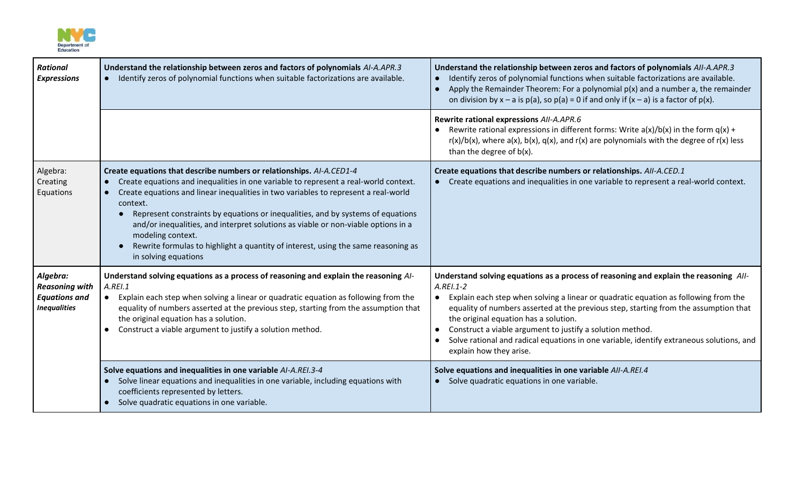

| <b>Rational</b><br><b>Expressions</b>                                            | Understand the relationship between zeros and factors of polynomials AI-A.APR.3<br>• Identify zeros of polynomial functions when suitable factorizations are available.                                                                                                                                                                                                                                                                                                                                                                                                   | Understand the relationship between zeros and factors of polynomials AII-A.APR.3<br>Identify zeros of polynomial functions when suitable factorizations are available.<br>Apply the Remainder Theorem: For a polynomial $p(x)$ and a number a, the remainder<br>$\bullet$<br>on division by $x - a$ is $p(a)$ , so $p(a) = 0$ if and only if $(x - a)$ is a factor of $p(x)$ .                                                                                                                                                 |
|----------------------------------------------------------------------------------|---------------------------------------------------------------------------------------------------------------------------------------------------------------------------------------------------------------------------------------------------------------------------------------------------------------------------------------------------------------------------------------------------------------------------------------------------------------------------------------------------------------------------------------------------------------------------|--------------------------------------------------------------------------------------------------------------------------------------------------------------------------------------------------------------------------------------------------------------------------------------------------------------------------------------------------------------------------------------------------------------------------------------------------------------------------------------------------------------------------------|
|                                                                                  |                                                                                                                                                                                                                                                                                                                                                                                                                                                                                                                                                                           | Rewrite rational expressions AII-A.APR.6<br>Rewrite rational expressions in different forms: Write $a(x)/b(x)$ in the form $q(x) +$<br>$r(x)/b(x)$ , where a(x), b(x), q(x), and r(x) are polynomials with the degree of r(x) less<br>than the degree of $b(x)$ .                                                                                                                                                                                                                                                              |
| Algebra:<br>Creating<br>Equations                                                | Create equations that describe numbers or relationships. AI-A.CED1-4<br>Create equations and inequalities in one variable to represent a real-world context.<br>Create equations and linear inequalities in two variables to represent a real-world<br>context.<br>Represent constraints by equations or inequalities, and by systems of equations<br>and/or inequalities, and interpret solutions as viable or non-viable options in a<br>modeling context.<br>Rewrite formulas to highlight a quantity of interest, using the same reasoning as<br>in solving equations | Create equations that describe numbers or relationships. All-A.CED.1<br>Create equations and inequalities in one variable to represent a real-world context.                                                                                                                                                                                                                                                                                                                                                                   |
| Algebra:<br><b>Reasoning with</b><br><b>Equations and</b><br><b>Inequalities</b> | Understand solving equations as a process of reasoning and explain the reasoning Al-<br>A. REI.1<br>Explain each step when solving a linear or quadratic equation as following from the<br>equality of numbers asserted at the previous step, starting from the assumption that<br>the original equation has a solution.<br>Construct a viable argument to justify a solution method.                                                                                                                                                                                     | Understand solving equations as a process of reasoning and explain the reasoning All-<br>$A. REI.1-2$<br>Explain each step when solving a linear or quadratic equation as following from the<br>equality of numbers asserted at the previous step, starting from the assumption that<br>the original equation has a solution.<br>Construct a viable argument to justify a solution method.<br>Solve rational and radical equations in one variable, identify extraneous solutions, and<br>$\bullet$<br>explain how they arise. |
|                                                                                  | Solve equations and inequalities in one variable AI-A.REI.3-4<br>Solve linear equations and inequalities in one variable, including equations with<br>$\bullet$<br>coefficients represented by letters.<br>Solve quadratic equations in one variable.<br>$\bullet$                                                                                                                                                                                                                                                                                                        | Solve equations and inequalities in one variable AII-A.REI.4<br>Solve quadratic equations in one variable.<br>$\bullet$                                                                                                                                                                                                                                                                                                                                                                                                        |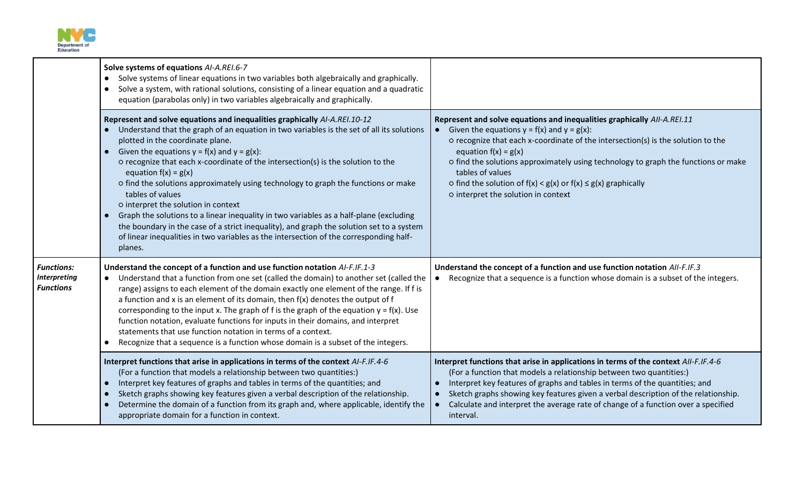

|                                                              | Solve systems of equations AI-A.REI.6-7<br>Solve systems of linear equations in two variables both algebraically and graphically.<br>$\bullet$<br>Solve a system, with rational solutions, consisting of a linear equation and a quadratic<br>$\bullet$<br>equation (parabolas only) in two variables algebraically and graphically.                                                                                                                                                                                                                                                                                                                                                                                                                                                                                                 |                                                                                                                                                                                                                                                                                                                                                                                                                                                                  |
|--------------------------------------------------------------|--------------------------------------------------------------------------------------------------------------------------------------------------------------------------------------------------------------------------------------------------------------------------------------------------------------------------------------------------------------------------------------------------------------------------------------------------------------------------------------------------------------------------------------------------------------------------------------------------------------------------------------------------------------------------------------------------------------------------------------------------------------------------------------------------------------------------------------|------------------------------------------------------------------------------------------------------------------------------------------------------------------------------------------------------------------------------------------------------------------------------------------------------------------------------------------------------------------------------------------------------------------------------------------------------------------|
|                                                              | Represent and solve equations and inequalities graphically AI-A.REI.10-12<br>Understand that the graph of an equation in two variables is the set of all its solutions<br>plotted in the coordinate plane.<br>Given the equations $y = f(x)$ and $y = g(x)$ :<br>$\bullet$<br>o recognize that each x-coordinate of the intersection(s) is the solution to the<br>equation $f(x) = g(x)$<br>o find the solutions approximately using technology to graph the functions or make<br>tables of values<br>o interpret the solution in context<br>Graph the solutions to a linear inequality in two variables as a half-plane (excluding<br>the boundary in the case of a strict inequality), and graph the solution set to a system<br>of linear inequalities in two variables as the intersection of the corresponding half-<br>planes. | Represent and solve equations and inequalities graphically AII-A.REI.11<br>Given the equations $y = f(x)$ and $y = g(x)$ :<br>o recognize that each x-coordinate of the intersection(s) is the solution to the<br>equation $f(x) = g(x)$<br>o find the solutions approximately using technology to graph the functions or make<br>tables of values<br>o find the solution of $f(x) < g(x)$ or $f(x) \le g(x)$ graphically<br>o interpret the solution in context |
| <b>Functions:</b><br><b>Interpreting</b><br><b>Functions</b> | Understand the concept of a function and use function notation AI-F.IF.1-3<br>Understand that a function from one set (called the domain) to another set (called the<br>range) assigns to each element of the domain exactly one element of the range. If f is<br>a function and x is an element of its domain, then $f(x)$ denotes the output of f<br>corresponding to the input x. The graph of f is the graph of the equation $y = f(x)$ . Use<br>function notation, evaluate functions for inputs in their domains, and interpret<br>statements that use function notation in terms of a context.<br>Recognize that a sequence is a function whose domain is a subset of the integers.                                                                                                                                           | Understand the concept of a function and use function notation AII-F.IF.3<br>Recognize that a sequence is a function whose domain is a subset of the integers.                                                                                                                                                                                                                                                                                                   |
|                                                              | Interpret functions that arise in applications in terms of the context AI-F.IF.4-6<br>(For a function that models a relationship between two quantities:)<br>Interpret key features of graphs and tables in terms of the quantities; and<br>$\bullet$<br>Sketch graphs showing key features given a verbal description of the relationship.<br>Determine the domain of a function from its graph and, where applicable, identify the<br>appropriate domain for a function in context.                                                                                                                                                                                                                                                                                                                                                | Interpret functions that arise in applications in terms of the context AII-F.IF.4-6<br>(For a function that models a relationship between two quantities:)<br>Interpret key features of graphs and tables in terms of the quantities; and<br>Sketch graphs showing key features given a verbal description of the relationship.<br>Calculate and interpret the average rate of change of a function over a specified<br>interval.                                |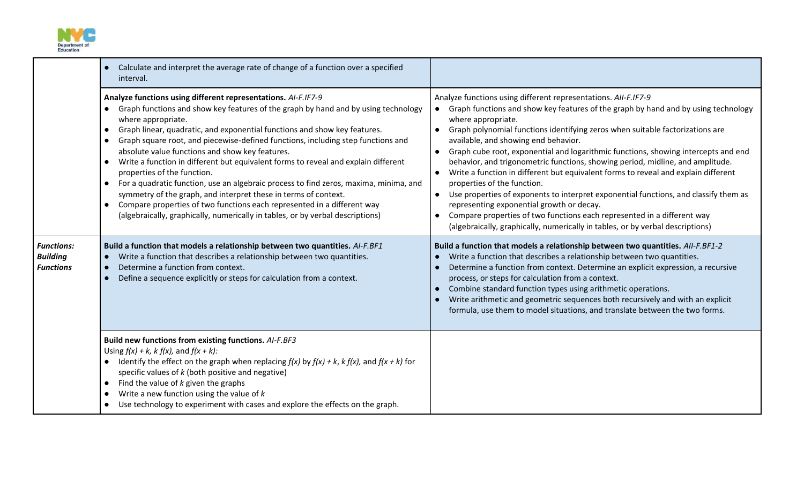

|                                                          | Calculate and interpret the average rate of change of a function over a specified<br>interval.                                                                                                                                                                                                                                                                                                                                                                                                                                                                                                                                                                                                                                                                                                                                                                                     |                                                                                                                                                                                                                                                                                                                                                                                                                                                                                                                                                                                                                                                                                                                                                                                                                                                                                                                              |
|----------------------------------------------------------|------------------------------------------------------------------------------------------------------------------------------------------------------------------------------------------------------------------------------------------------------------------------------------------------------------------------------------------------------------------------------------------------------------------------------------------------------------------------------------------------------------------------------------------------------------------------------------------------------------------------------------------------------------------------------------------------------------------------------------------------------------------------------------------------------------------------------------------------------------------------------------|------------------------------------------------------------------------------------------------------------------------------------------------------------------------------------------------------------------------------------------------------------------------------------------------------------------------------------------------------------------------------------------------------------------------------------------------------------------------------------------------------------------------------------------------------------------------------------------------------------------------------------------------------------------------------------------------------------------------------------------------------------------------------------------------------------------------------------------------------------------------------------------------------------------------------|
|                                                          | Analyze functions using different representations. AI-F.IF7-9<br>Graph functions and show key features of the graph by hand and by using technology<br>where appropriate.<br>Graph linear, quadratic, and exponential functions and show key features.<br>$\bullet$<br>Graph square root, and piecewise-defined functions, including step functions and<br>$\bullet$<br>absolute value functions and show key features.<br>Write a function in different but equivalent forms to reveal and explain different<br>properties of the function.<br>For a quadratic function, use an algebraic process to find zeros, maxima, minima, and<br>$\bullet$<br>symmetry of the graph, and interpret these in terms of context.<br>Compare properties of two functions each represented in a different way<br>(algebraically, graphically, numerically in tables, or by verbal descriptions) | Analyze functions using different representations. AII-F.IF7-9<br>Graph functions and show key features of the graph by hand and by using technology<br>where appropriate.<br>Graph polynomial functions identifying zeros when suitable factorizations are<br>available, and showing end behavior.<br>Graph cube root, exponential and logarithmic functions, showing intercepts and end<br>$\bullet$<br>behavior, and trigonometric functions, showing period, midline, and amplitude.<br>Write a function in different but equivalent forms to reveal and explain different<br>properties of the function.<br>Use properties of exponents to interpret exponential functions, and classify them as<br>representing exponential growth or decay.<br>Compare properties of two functions each represented in a different way<br>$\bullet$<br>(algebraically, graphically, numerically in tables, or by verbal descriptions) |
| <b>Functions:</b><br><b>Building</b><br><b>Functions</b> | Build a function that models a relationship between two quantities. AI-F.BF1<br>Write a function that describes a relationship between two quantities.<br>$\bullet$<br>Determine a function from context.<br>$\bullet$<br>Define a sequence explicitly or steps for calculation from a context.<br>$\bullet$                                                                                                                                                                                                                                                                                                                                                                                                                                                                                                                                                                       | Build a function that models a relationship between two quantities. All-F.BF1-2<br>Write a function that describes a relationship between two quantities.<br>Determine a function from context. Determine an explicit expression, a recursive<br>process, or steps for calculation from a context.<br>Combine standard function types using arithmetic operations.<br>Write arithmetic and geometric sequences both recursively and with an explicit<br>formula, use them to model situations, and translate between the two forms.                                                                                                                                                                                                                                                                                                                                                                                          |
|                                                          | Build new functions from existing functions. AI-F.BF3<br>Using $f(x) + k$ , $k f(x)$ , and $f(x + k)$ :<br>Identify the effect on the graph when replacing $f(x)$ by $f(x) + k$ , $k f(x)$ , and $f(x + k)$ for                                                                                                                                                                                                                                                                                                                                                                                                                                                                                                                                                                                                                                                                    |                                                                                                                                                                                                                                                                                                                                                                                                                                                                                                                                                                                                                                                                                                                                                                                                                                                                                                                              |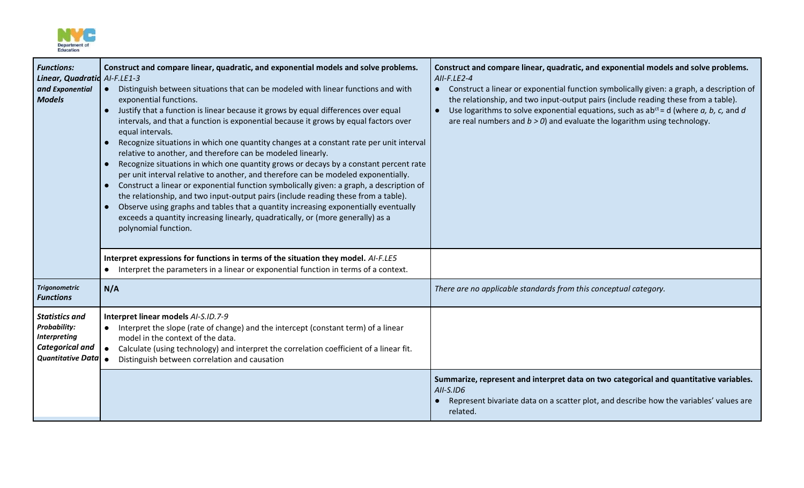

| <b>Functions:</b><br>Linear, Quadratic AI-F.LE1-3<br>and Exponential<br><b>Models</b>                                     | Construct and compare linear, quadratic, and exponential models and solve problems.<br>Distinguish between situations that can be modeled with linear functions and with<br>$\bullet$<br>exponential functions.<br>Justify that a function is linear because it grows by equal differences over equal<br>$\bullet$<br>intervals, and that a function is exponential because it grows by equal factors over<br>equal intervals.<br>Recognize situations in which one quantity changes at a constant rate per unit interval<br>$\bullet$<br>relative to another, and therefore can be modeled linearly.<br>Recognize situations in which one quantity grows or decays by a constant percent rate<br>$\bullet$<br>per unit interval relative to another, and therefore can be modeled exponentially.<br>Construct a linear or exponential function symbolically given: a graph, a description of<br>the relationship, and two input-output pairs (include reading these from a table).<br>Observe using graphs and tables that a quantity increasing exponentially eventually<br>$\bullet$<br>exceeds a quantity increasing linearly, quadratically, or (more generally) as a<br>polynomial function. | Construct and compare linear, quadratic, and exponential models and solve problems.<br>AII-F.LE2-4<br>Construct a linear or exponential function symbolically given: a graph, a description of<br>$\bullet$<br>the relationship, and two input-output pairs (include reading these from a table).<br>Use logarithms to solve exponential equations, such as $ab^{ct} = d$ (where a, b, c, and d<br>$\bullet$<br>are real numbers and $b > 0$ ) and evaluate the logarithm using technology. |
|---------------------------------------------------------------------------------------------------------------------------|----------------------------------------------------------------------------------------------------------------------------------------------------------------------------------------------------------------------------------------------------------------------------------------------------------------------------------------------------------------------------------------------------------------------------------------------------------------------------------------------------------------------------------------------------------------------------------------------------------------------------------------------------------------------------------------------------------------------------------------------------------------------------------------------------------------------------------------------------------------------------------------------------------------------------------------------------------------------------------------------------------------------------------------------------------------------------------------------------------------------------------------------------------------------------------------------------|---------------------------------------------------------------------------------------------------------------------------------------------------------------------------------------------------------------------------------------------------------------------------------------------------------------------------------------------------------------------------------------------------------------------------------------------------------------------------------------------|
|                                                                                                                           | Interpret expressions for functions in terms of the situation they model. AI-F.LE5<br>Interpret the parameters in a linear or exponential function in terms of a context.<br>$\bullet$                                                                                                                                                                                                                                                                                                                                                                                                                                                                                                                                                                                                                                                                                                                                                                                                                                                                                                                                                                                                             |                                                                                                                                                                                                                                                                                                                                                                                                                                                                                             |
| <b>Trigonometric</b><br><b>Functions</b>                                                                                  | N/A                                                                                                                                                                                                                                                                                                                                                                                                                                                                                                                                                                                                                                                                                                                                                                                                                                                                                                                                                                                                                                                                                                                                                                                                | There are no applicable standards from this conceptual category.                                                                                                                                                                                                                                                                                                                                                                                                                            |
| <b>Statistics and</b><br><b>Probability:</b><br><b>Interpreting</b><br><b>Categorical and</b><br><b>Quantitative Data</b> | Interpret linear models AI-S.ID.7-9<br>• Interpret the slope (rate of change) and the intercept (constant term) of a linear<br>model in the context of the data.<br>Calculate (using technology) and interpret the correlation coefficient of a linear fit.<br>Distinguish between correlation and causation                                                                                                                                                                                                                                                                                                                                                                                                                                                                                                                                                                                                                                                                                                                                                                                                                                                                                       |                                                                                                                                                                                                                                                                                                                                                                                                                                                                                             |
|                                                                                                                           |                                                                                                                                                                                                                                                                                                                                                                                                                                                                                                                                                                                                                                                                                                                                                                                                                                                                                                                                                                                                                                                                                                                                                                                                    | Summarize, represent and interpret data on two categorical and quantitative variables.<br>$AII-S.ID6$<br>Represent bivariate data on a scatter plot, and describe how the variables' values are<br>related.                                                                                                                                                                                                                                                                                 |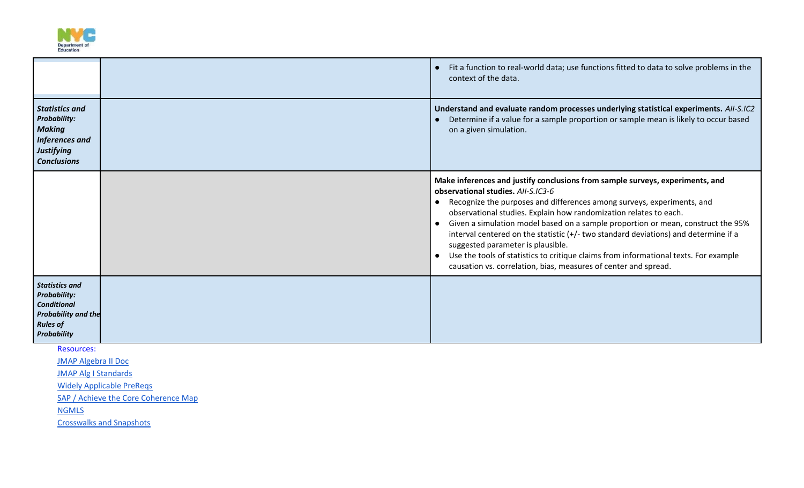

|                                                                                                                                    | Fit a function to real-world data; use functions fitted to data to solve problems in the<br>context of the data.                                                                                                                                                                                                                                                                                                                                                                                                                                                                                                                                                        |
|------------------------------------------------------------------------------------------------------------------------------------|-------------------------------------------------------------------------------------------------------------------------------------------------------------------------------------------------------------------------------------------------------------------------------------------------------------------------------------------------------------------------------------------------------------------------------------------------------------------------------------------------------------------------------------------------------------------------------------------------------------------------------------------------------------------------|
| <b>Statistics and</b><br><b>Probability:</b><br><b>Making</b><br>Inferences and<br>Justifying<br><b>Conclusions</b>                | Understand and evaluate random processes underlying statistical experiments. AII-S.IC2<br>Determine if a value for a sample proportion or sample mean is likely to occur based<br>on a given simulation.                                                                                                                                                                                                                                                                                                                                                                                                                                                                |
|                                                                                                                                    | Make inferences and justify conclusions from sample surveys, experiments, and<br>observational studies, AII-S.IC3-6<br>Recognize the purposes and differences among surveys, experiments, and<br>$\bullet$<br>observational studies. Explain how randomization relates to each.<br>Given a simulation model based on a sample proportion or mean, construct the 95%<br>$\bullet$<br>interval centered on the statistic (+/- two standard deviations) and determine if a<br>suggested parameter is plausible.<br>Use the tools of statistics to critique claims from informational texts. For example<br>causation vs. correlation, bias, measures of center and spread. |
| <b>Statistics and</b><br><b>Probability:</b><br><b>Conditional</b><br><b>Probability and the</b><br><b>Rules of</b><br>Probability |                                                                                                                                                                                                                                                                                                                                                                                                                                                                                                                                                                                                                                                                         |

Resources:

[JMAP Algebra II Doc](http://www.jmap.org/SupportFiles/NYS-NYCDOEDocuments/Math/Common_Core_Learning_Standards/AIIOverview.pdf) 

[JMAP Alg I Standards](https://achievethecore.org/content/upload/2020%E2%80%9321%20Priority%20Instructional%20Content%20in%20ELA%20Literacy%20and%20Mathematics_June%202020.pdf)

[Widely Applicable PreReqs](https://achievethecore.org/content/upload/Widely%20Applicable%20Prerequisites.pdf)

[SAP / Achieve the Core Coherence Map](https://achievethecore.org/page/1118/coherence-map)

**NGMLS** 

[Crosswalks and Snapshots](http://www.nysed.gov/curriculum-instruction/teachers/next-generation-mathematics-learning-standards-crosswalks)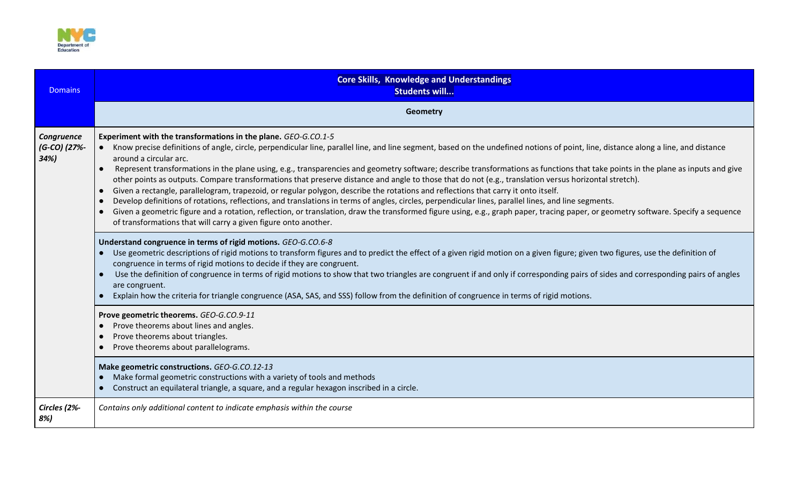

| <b>Domains</b>                    | <b>Core Skills, Knowledge and Understandings</b><br>Students will                                                                                                                                                                                                                                                                                                                                                                                                                                                                                                                                                                                                                                                                                                                                                                                                                                                                                                                                                                                                                                                                                                                                                                                                                                                                                                                                                                                                                                                                                                                                                                                                                                                                                              |  |
|-----------------------------------|----------------------------------------------------------------------------------------------------------------------------------------------------------------------------------------------------------------------------------------------------------------------------------------------------------------------------------------------------------------------------------------------------------------------------------------------------------------------------------------------------------------------------------------------------------------------------------------------------------------------------------------------------------------------------------------------------------------------------------------------------------------------------------------------------------------------------------------------------------------------------------------------------------------------------------------------------------------------------------------------------------------------------------------------------------------------------------------------------------------------------------------------------------------------------------------------------------------------------------------------------------------------------------------------------------------------------------------------------------------------------------------------------------------------------------------------------------------------------------------------------------------------------------------------------------------------------------------------------------------------------------------------------------------------------------------------------------------------------------------------------------------|--|
|                                   | Geometry                                                                                                                                                                                                                                                                                                                                                                                                                                                                                                                                                                                                                                                                                                                                                                                                                                                                                                                                                                                                                                                                                                                                                                                                                                                                                                                                                                                                                                                                                                                                                                                                                                                                                                                                                       |  |
| Congruence<br>(G-CO) (27%-<br>34% | Experiment with the transformations in the plane. GEO-G.CO.1-5<br>• Know precise definitions of angle, circle, perpendicular line, parallel line, and line segment, based on the undefined notions of point, line, distance along a line, and distance<br>around a circular arc.<br>Represent transformations in the plane using, e.g., transparencies and geometry software; describe transformations as functions that take points in the plane as inputs and give<br>$\bullet$<br>other points as outputs. Compare transformations that preserve distance and angle to those that do not (e.g., translation versus horizontal stretch).<br>Given a rectangle, parallelogram, trapezoid, or regular polygon, describe the rotations and reflections that carry it onto itself.<br>$\bullet$<br>Develop definitions of rotations, reflections, and translations in terms of angles, circles, perpendicular lines, parallel lines, and line segments.<br>Given a geometric figure and a rotation, reflection, or translation, draw the transformed figure using, e.g., graph paper, tracing paper, or geometry software. Specify a sequence<br>of transformations that will carry a given figure onto another.<br>Understand congruence in terms of rigid motions. GEO-G.CO.6-8<br>Use geometric descriptions of rigid motions to transform figures and to predict the effect of a given rigid motion on a given figure; given two figures, use the definition of<br>congruence in terms of rigid motions to decide if they are congruent.<br>Use the definition of congruence in terms of rigid motions to show that two triangles are congruent if and only if corresponding pairs of sides and corresponding pairs of angles<br>$\bullet$<br>are congruent. |  |
|                                   | Explain how the criteria for triangle congruence (ASA, SAS, and SSS) follow from the definition of congruence in terms of rigid motions.<br>$\bullet$                                                                                                                                                                                                                                                                                                                                                                                                                                                                                                                                                                                                                                                                                                                                                                                                                                                                                                                                                                                                                                                                                                                                                                                                                                                                                                                                                                                                                                                                                                                                                                                                          |  |
|                                   | Prove geometric theorems. GEO-G.CO.9-11<br>Prove theorems about lines and angles.<br>Prove theorems about triangles.<br>$\epsilon$<br>Prove theorems about parallelograms.                                                                                                                                                                                                                                                                                                                                                                                                                                                                                                                                                                                                                                                                                                                                                                                                                                                                                                                                                                                                                                                                                                                                                                                                                                                                                                                                                                                                                                                                                                                                                                                     |  |
|                                   | Make geometric constructions. GEO-G.CO.12-13<br>Make formal geometric constructions with a variety of tools and methods<br>Construct an equilateral triangle, a square, and a regular hexagon inscribed in a circle.                                                                                                                                                                                                                                                                                                                                                                                                                                                                                                                                                                                                                                                                                                                                                                                                                                                                                                                                                                                                                                                                                                                                                                                                                                                                                                                                                                                                                                                                                                                                           |  |
| Circles (2%-<br>8%)               | Contains only additional content to indicate emphasis within the course                                                                                                                                                                                                                                                                                                                                                                                                                                                                                                                                                                                                                                                                                                                                                                                                                                                                                                                                                                                                                                                                                                                                                                                                                                                                                                                                                                                                                                                                                                                                                                                                                                                                                        |  |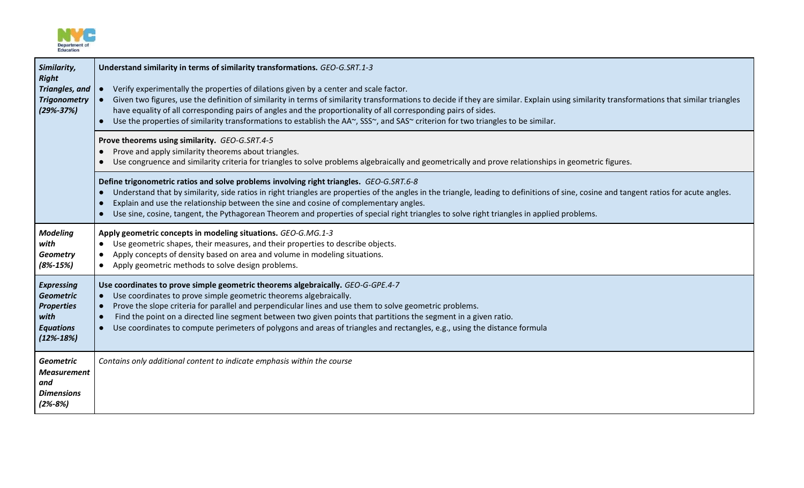

| Similarity,<br><b>Right</b><br>Triangles, and<br><b>Trigonometry</b><br>$(29% - 37%)$                     | Understand similarity in terms of similarity transformations. GEO-G.SRT.1-3<br>Verify experimentally the properties of dilations given by a center and scale factor.<br>Given two figures, use the definition of similarity in terms of similarity transformations to decide if they are similar. Explain using similarity transformations that similar triangles<br>have equality of all corresponding pairs of angles and the proportionality of all corresponding pairs of sides.<br>Use the properties of similarity transformations to establish the AA~, SSS~, and SAS~ criterion for two triangles to be similar. |
|-----------------------------------------------------------------------------------------------------------|--------------------------------------------------------------------------------------------------------------------------------------------------------------------------------------------------------------------------------------------------------------------------------------------------------------------------------------------------------------------------------------------------------------------------------------------------------------------------------------------------------------------------------------------------------------------------------------------------------------------------|
|                                                                                                           | Prove theorems using similarity. GEO-G.SRT.4-5<br>Prove and apply similarity theorems about triangles.<br>Use congruence and similarity criteria for triangles to solve problems algebraically and geometrically and prove relationships in geometric figures.                                                                                                                                                                                                                                                                                                                                                           |
|                                                                                                           | Define trigonometric ratios and solve problems involving right triangles. GEO-G.SRT.6-8<br>Understand that by similarity, side ratios in right triangles are properties of the angles in the triangle, leading to definitions of sine, cosine and tangent ratios for acute angles.<br>Explain and use the relationship between the sine and cosine of complementary angles.<br>Use sine, cosine, tangent, the Pythagorean Theorem and properties of special right triangles to solve right triangles in applied problems.<br>$\bullet$                                                                                   |
| <b>Modeling</b><br>with<br><b>Geometry</b><br>$(8\% - 15\%)$                                              | Apply geometric concepts in modeling situations. GEO-G.MG.1-3<br>• Use geometric shapes, their measures, and their properties to describe objects.<br>Apply concepts of density based on area and volume in modeling situations.<br>Apply geometric methods to solve design problems.<br>$\bullet$                                                                                                                                                                                                                                                                                                                       |
| <b>Expressing</b><br><b>Geometric</b><br><b>Properties</b><br>with<br><b>Equations</b><br>$(12\% - 18\%)$ | Use coordinates to prove simple geometric theorems algebraically. GEO-G-GPE.4-7<br>Use coordinates to prove simple geometric theorems algebraically.<br>$\bullet$<br>Prove the slope criteria for parallel and perpendicular lines and use them to solve geometric problems.<br>$\bullet$<br>Find the point on a directed line segment between two given points that partitions the segment in a given ratio.<br>Use coordinates to compute perimeters of polygons and areas of triangles and rectangles, e.g., using the distance formula<br>$\bullet$                                                                  |
| <b>Geometric</b><br><b>Measurement</b><br>and<br><b>Dimensions</b><br>$(2% - 8%)$                         | Contains only additional content to indicate emphasis within the course                                                                                                                                                                                                                                                                                                                                                                                                                                                                                                                                                  |